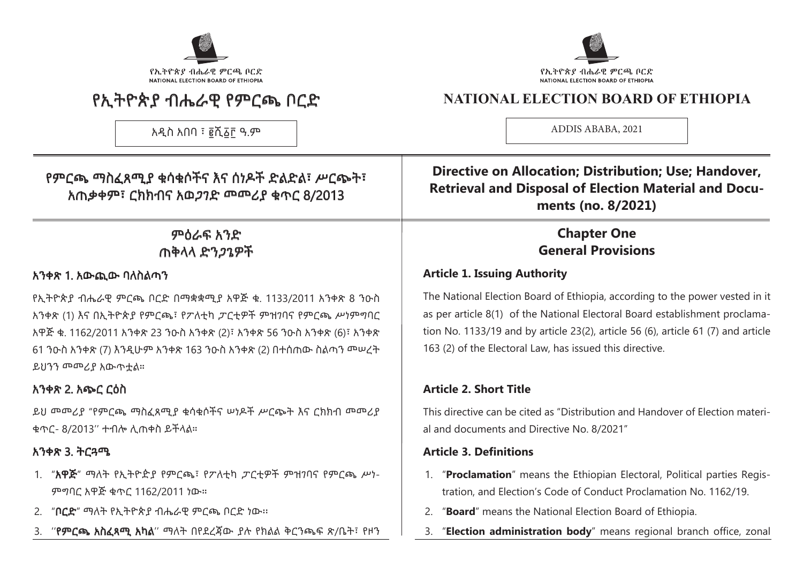

# የኢትዮጵያ ብሔራዊ የምርጫ ቦርድ

አዲስ አበባ ፣ ፪ሺ፩፫ ዓ.ም

# የኢትዮጵያ ብሔራዊ ምርጫ ቦርድ NATIONAL ELECTION BOARD OF ETHIOPIA

# **NATIONAL ELECTION BOARD OF ETHIOPIA**

ADDIS ABABA, 2021

# የምርጫ ማስፈጸሚያ ቁሳቁሶችና እና ሰነዶች ድልድል፣ ሥርጭት፣ አጠቃቀም፣ ርክክብና አወጋገድ መመሪያ ቁጥር 8/2013

# ምዕራፍ አንድ ጠቅላላ ድንጋጌዎች

#### አንቀጽ 1. አውጪው ባለስልጣን

የኢትዮጵያ ብሔራዊ ምርጫ ቦርድ በማቋቋሚያ አዋጅ ቁ. 1133/2011 አንቀጽ 8 ንዑስ አንቀጽ (1) እና በኢትዮጵያ የምርጫ፣ የፖለቲካ ፓርቲዎች ምዝገባና የምርጫ ሥነምግባር አዋጅ ቁ. 1162/2011 አንቀጽ 23 ንዑስ አንቀጽ (2)፣ አንቀጽ 56 ንዑስ አንቀጽ (6)፣ አንቀጽ 61 ንዑስ አንቀጽ (7) እንዲሁም አንቀጽ 163 ንዑስ አንቀጽ (2) በተሰጠው ስልጣን መሠረት ይህንን መመሪያ አውጥቷል።

# አንቀጽ 2. አጭር ርዕስ

ይህ መመሪያ "የምርጫ ማስፈጸሚያ ቁሳቁሶችና ሠነዶች ሥርጭት እና ርክክብ መመሪያ ቁጥር- 8/2013'' ተብሎ ሊጠቀስ ይችላል።

# አንቀጽ 3. ትርጓሜ

- 1. "አዋጅ" ማለት የኢትዮዽያ የምርጫ፣ የፖለቲካ ፓርቲዎች ምዝገባና የምርጫ ሥነ-ምግባር አዋጅ ቁጥር 1162/2011 ነው።
- 2. "ቦርድ" ማለት የኢትዮጵያ ብሔራዊ ምርጫ ቦርድ ነው፡፡
- 3. ''የምርጫ አስፈጻሚ አካል'' ማለት በየደረጃው ያሉ የክልል ቅርንጫፍ ጽ/ቤት፣ የዞን

**Directive on Allocation; Distribution; Use; Handover, Retrieval and Disposal of Election Material and Documents (no. 8/2021)**

# **Chapter One General Provisions**

# **Article 1. Issuing Authority**

The National Election Board of Ethiopia, according to the power vested in it as per article 8(1) of the National Electoral Board establishment proclamation No. 1133/19 and by article 23(2), article 56 (6), article 61 (7) and article 163 (2) of the Electoral Law, has issued this directive.

# **Article 2. Short Title**

This directive can be cited as "Distribution and Handover of Election material and documents and Directive No. 8/2021"

#### **Article 3. Definitions**

- 1. "**Proclamation**" means the Ethiopian Electoral, Political parties Registration, and Election's Code of Conduct Proclamation No. 1162/19.
- 2. "**Board**" means the National Election Board of Ethiopia.
- 3. "**Election administration body**" means regional branch office, zonal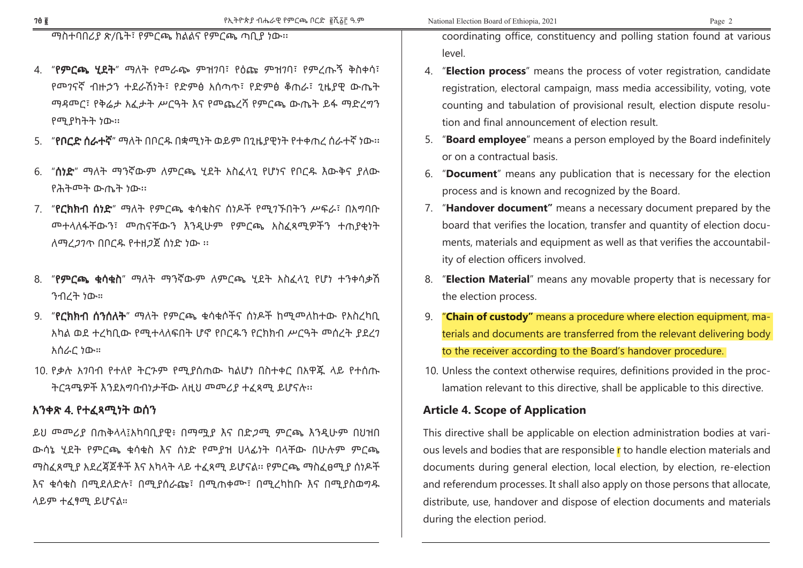ማስተባበሪያ ጽ/ቤት፣ የምርጫ ክልልና የምርጫ ጣቢያ ነው፡፡

- 4. "የምርጫ ሂደት" ማለት የመራጭ ምዝገባ፣ የዕጩ ምዝገባ፣ የምረጡኝ ቅስቀሳ፣ የመገናኛ ብዙኃን ተደራሽነት፣ የድምፅ አሰጣጥ፣ የድምፅ ቆጠራ፣ ጊዜያዊ ውጤት ማዳመር፣ የቅሬታ አፈታት ሥርዓት እና የመጨረሻ የምርጫ ውጤት ይፋ ማድረግን የሚያካትት ነው፡፡
- 5. "የቦርድ ሰራተኛ" ማለት በቦርዱ በቋሚነት ወይም በጊዜያዊነት የተቀጠረ ሰራተኛ ነው፡፡
- 6. "ሰነድ" ማለት ማንኛውም ለምርጫ ሂደት አስፈላጊ የሆነና የቦርዱ እውቅና ያለው የሕትመት ውጤት ነው፡፡
- 7. "የርክክብ ሰነድ" ማለት የምርጫ ቁሳቁስና ሰነዶች የሚገኙበትን ሥፍራ፣ በአግባቡ መተላለፋቸውን፣ መጠናቸውን እንዲሁም የምርጫ አስፈጻሚዎችን ተጠያቂነት ለማረጋገጥ በቦርዱ የተዘጋጀ ሰነድ ነው ፡፡
- 8. "የምርጫ ቁሳቁስ" ማለት ማንኛውም ለምርጫ ሂደት አስፈላጊ የሆነ ተንቀሳቃሽ ንብረት ነው።
- 9. "የርክክብ ሰንሰለት" ማለት የምርጫ ቁሳቁሶችና ሰነዶች ከሚመለከተው የአስረካቢ አካል ወደ ተረካቢው የሚተላለፍበት ሆኖ የቦርዱን የርክክብ ሥርዓት መሰረት ያደረገ አሰራር ነው።
- 10. የቃሉ አገባብ የተለየ ትርጉም የሚያሰጠው ካልሆነ በስተቀር በአዋጁ ላይ የተሰጡ ትርጓሜዎች እንደአግባብነታቸው ለዚህ መመሪያ ተፈጻሚ ይሆናሉ፡፡

#### አንቀጽ 4. የተፈጻሚነት ወሰን

ይህ መመሪያ በጠቅላላ፤አካባቢያዊ፥ በማሟያ እና በድጋሚ ምርጫ እንዲሁም በህዝበ ውሳኔ ሂደት የምርጫ ቁሳቁስ እና ሰነድ የመያዝ ሀላፊነት ባላቸው በሁሉም ምርጫ ማስፈጸሚያ አደረጃጀቶች እና አካላት ላይ ተፈጻሚ ይሆናል፡፡ የምርጫ ማስፈፀሚያ ሰነዶች እና ቁሳቁስ በሚደለድሉ፣ በሚያሰራጩ፣ በሚጠቀሙ፣ በሚረካከቡ እና በሚያስወግዱ ላይም ተፈፃሚ ይሆናል።

coordinating office, constituency and polling station found at various level.

- 4. "**Election process**" means the process of voter registration, candidate registration, electoral campaign, mass media accessibility, voting, vote counting and tabulation of provisional result, election dispute resolution and final announcement of election result.
- 5. "**Board employee**" means a person employed by the Board indefinitely or on a contractual basis.
- 6. "**Document**" means any publication that is necessary for the election process and is known and recognized by the Board.
- 7. "**Handover document"** means a necessary document prepared by the board that verifies the location, transfer and quantity of election documents, materials and equipment as well as that verifies the accountability of election officers involved.
- 8. "**Election Material**" means any movable property that is necessary for the election process.
- 9. "**Chain of custody"** means a procedure where election equipment, materials and documents are transferred from the relevant delivering body to the receiver according to the Board's handover procedure.
- 10. Unless the context otherwise requires, definitions provided in the proclamation relevant to this directive, shall be applicable to this directive.

#### **Article 4. Scope of Application**

This directive shall be applicable on election administration bodies at various levels and bodies that are responsible r to handle election materials and documents during general election, local election, by election, re-election and referendum processes. It shall also apply on those persons that allocate, distribute, use, handover and dispose of election documents and materials during the election period.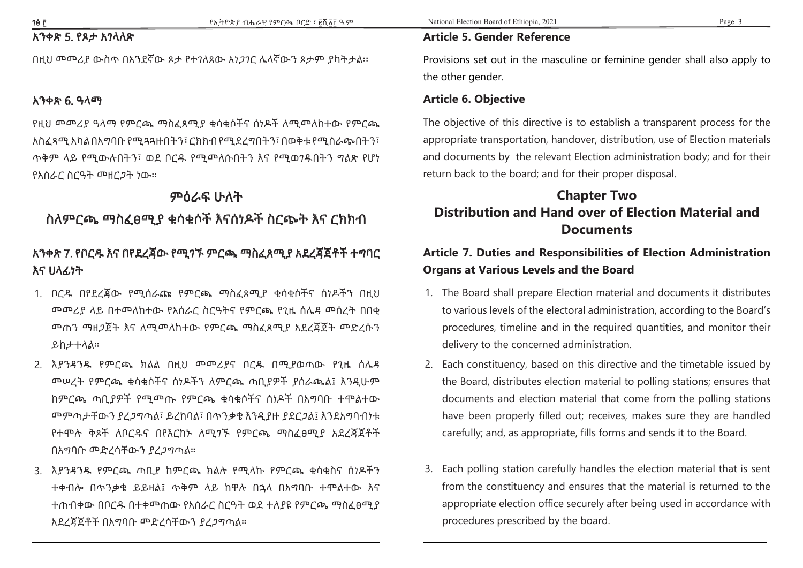# አንቀጽ 5. የጾታ አገላለጽ

በዚህ መመሪያ ውስጥ በአንደኛው ጾታ የተገለጸው አነጋገር ሌላኛውን ጾታም ያካትታል፡፡

#### አንቀጽ 6. ዓላማ

የዚህ መመሪያ ዓላማ የምርጫ ማስፈጸሚያ ቁሳቁሶችና ሰነዶች ለሚመለከተው የምርጫ አስፈጻሚ አካል በአግባቡ የሚጓጓዙበትን፣ ርክክብ የሚደረግበትን፣ በወቅቱ የሚሰራጭበትን፣ ጥቅም ላይ የሚውሉበትን፣ ወደ ቦርዱ የሚመለሱበትን እና የሚወገዱበትን ግልጽ የሆነ የአሰራር ስርዓት መዘርጋት ነው።

### ምዕራፍ ሁለት

# ስለምርጫ ማስፈፀሚያ ቁሳቁሶች እናሰነዶች ስርጭት እና ርክክብ

# አንቀጽ 7. የቦርዱ እና በየደረጃው የሚገኙ ምርጫ ማስፈጸሚያ አደረጃጀቶች ተግባር እና ሀላፊነት

- 1. ቦርዱ በየደረጃው የሚሰራጩ የምርጫ ማስፈጸሚያ ቁሳቁሶችና ሰነዶችን በዚህ መመሪያ ላይ በተመለከተው የአሰራር ስርዓትና የምርጫ የጊዜ ሰሌዳ መሰረት በበቂ መጠን ማዘጋጀት እና ለሚመለከተው የምርጫ ማስፈጸሚያ አደረጃጀት መድረሱን ይከታተላል።
- 2. እያንዳንዱ የምርጫ ክልል በዚህ መመሪያና ቦርዱ በሚያወጣው የጊዜ ሰሌዳ መሠረት የምርጫ ቁሳቁሶችና ሰነዶችን ለምርጫ ጣቢያዎች ያሰራጫል፤ እንዲሁም ከምርጫ ጣቢያዎች የሚመጡ የምርጫ ቁሳቁሶችና ሰነዶች በአግባቡ ተሞልተው መምጣታቸውን ያረጋግጣል፣ ይረከባል፣ በጥንቃቄ እንዲያዙ ያደርጋል፤ እንደአግባብነቱ የተሞሉ ቅጾች ለቦርዱና በየእርከኑ ለሚገኙ የምርጫ ማስፈፀሚያ አደረጃጀቶች በአግባቡ መድረሳቸውን ያረጋግጣል።
- 3. እያንዳንዱ የምርጫ ጣቢያ ከምርጫ ክልሉ የሚላኩ የምርጫ ቁሳቁስና ሰነዶችን ተቀብሎ በጥንቃቄ ይይዛል፤ ጥቅም ላይ ከዋሉ በኋላ በአግባቡ ተሞልተው እና ተጠብቀው በቦርዱ በተቀመጠው የአሰራር ስርዓት ወደ ተለያዩ የምርጫ ማስፈፀሚያ አደረጃጀቶች በአግባቡ መድረሳቸውን ያረጋግጣል።

#### **Article 5. Gender Reference**

Provisions set out in the masculine or feminine gender shall also apply to the other gender.

#### **Article 6. Objective**

The objective of this directive is to establish a transparent process for the appropriate transportation, handover, distribution, use of Election materials and documents by the relevant Election administration body; and for their return back to the board; and for their proper disposal.

# **Chapter Two Distribution and Hand over of Election Material and Documents**

# **Article 7. Duties and Responsibilities of Election Administration Organs at Various Levels and the Board**

- 1. The Board shall prepare Election material and documents it distributes to various levels of the electoral administration, according to the Board's procedures, timeline and in the required quantities, and monitor their delivery to the concerned administration.
- 2. Each constituency, based on this directive and the timetable issued by the Board, distributes election material to polling stations; ensures that documents and election material that come from the polling stations have been properly filled out; receives, makes sure they are handled carefully; and, as appropriate, fills forms and sends it to the Board.
- 3. Each polling station carefully handles the election material that is sent from the constituency and ensures that the material is returned to the appropriate election office securely after being used in accordance with procedures prescribed by the board.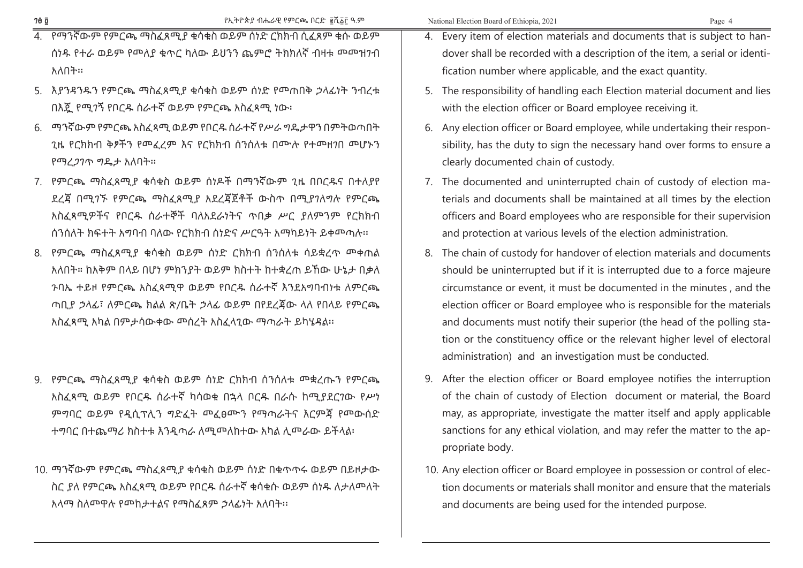| ٠<br>× |  |
|--------|--|
|--------|--|

- 4. የማንኛውም የምርጫ ማስፈጸሚያ ቁሳቁስ ወይም ሰነድ ርክክብ ሲፈጸም ቁሱ ወይም ሰነዱ የተራ ወይም የመለያ ቁጥር ካለው ይህንን ጨምሮ ትክክለኛ ብዛቱ መመዝገብ አለበት፡፡
- 5. እያንዳንዱን የምርጫ ማስፈጸሚያ ቁሳቁስ ወይም ሰነድ የመጠበቅ ኃላፊነት ንብረቱ በእጇ የሚገኝ የቦርዱ ሰራተኛ ወይም የምርጫ አስፈጻሚ ነው፡
- 6. ማንኛውም የምርጫ አስፈጻሚ ወይም የቦርዱ ሰራተኛ የሥራ ግዴታዋን በምትወጣበት ጊዜ የርክክብ ቅፆችን የመፈረም እና የርክክብ ሰንሰለቱ በሙሉ የተመዘገበ መሆኑን የማረጋገጥ ግዴታ አለባት፡፡
- 7. የምርጫ ማስፈጸሚያ ቁሳቁስ ወይም ሰነዶች በማንኛውም ጊዜ በቦርዱና በተለያየ ደረጃ በሚገኙ የምርጫ ማስፈጸሚያ አደረጃጀቶች ውስጥ በሚያገለግሉ የምርጫ አስፈጻሚዎችና የቦርዱ ሰራተኞች ባለአደራነትና ጥበቃ ሥር ያለምንም የርክክብ ሰንሰለት ክፍተት አግባብ ባለው የርክክብ ሰነድና ሥርዓት አማካይነት ይቀመጣሉ፡፡
- 8. የምርጫ ማስፈጸሚያ ቁሳቁስ ወይም ሰነድ ርክክብ ሰንሰለቱ ሳይቋረጥ መቀጠል አለበት። ከአቅም በላይ በሆነ ምክንያት ወይም ክስተት ከተቋረጠ ይኸው ሁኔታ በቃለ ጉባኤ ተይዞ የምርጫ አስፈጻሚዋ ወይም የቦርዱ ሰራተኛ እንደአግባብነቱ ለምርጫ ጣቢያ ኃላፊ፣ ለምርጫ ክልል ጽ/ቤት ኃላፊ ወይም በየደረጃው ላለ የበላይ የምርጫ አስፈጻሚ አካል በምታሳውቀው መሰረት አስፈላጊው ማጣራት ይካሄዳል፡፡
- 9. የምርጫ ማስፈጸሚያ ቁሳቁስ ወይም ሰነድ ርክክብ ሰንሰለቱ መቋረጡን የምርጫ አስፈጻሚ ወይም የቦርዱ ሰራተኛ ካሳወቁ በኋላ ቦርዱ በራሱ ከሚያደርገው የሥነ ምግባር ወይም የዲሲፕሊን ግድፈት መፈፀሙን የማጣራትና እርምጃ የመውሰድ ተግባር በተጨማሪ ክስተቱ እንዲጣራ ለሚመለከተው አካል ሊመራው ይችላል፡
- 10. ማንኛውም የምርጫ ማስፈጸሚያ ቁሳቁስ ወይም ሰነድ በቁጥጥሩ ወይም በይዞታው ስር ያለ የምርጫ አስፈጻሚ ወይም የቦርዱ ሰራተኛ ቁሳቁሱ ወይም ሰነዱ ለታለመለት አላማ ስለመዋሉ የመከታተልና የማስፈጸም ኃላፊነት አለባት፡፡
- 4. Every item of election materials and documents that is subject to handover shall be recorded with a description of the item, a serial or identification number where applicable, and the exact quantity.
- 5. The responsibility of handling each Election material document and lies with the election officer or Board employee receiving it.
- 6. Any election officer or Board employee, while undertaking their responsibility, has the duty to sign the necessary hand over forms to ensure a clearly documented chain of custody.
- 7. The documented and uninterrupted chain of custody of election materials and documents shall be maintained at all times by the election officers and Board employees who are responsible for their supervision and protection at various levels of the election administration.
- 8. The chain of custody for handover of election materials and documents should be uninterrupted but if it is interrupted due to a force majeure circumstance or event, it must be documented in the minutes , and the election officer or Board employee who is responsible for the materials and documents must notify their superior (the head of the polling station or the constituency office or the relevant higher level of electoral administration) and an investigation must be conducted.
- 9. After the election officer or Board employee notifies the interruption of the chain of custody of Election document or material, the Board may, as appropriate, investigate the matter itself and apply applicable sanctions for any ethical violation, and may refer the matter to the appropriate body.
- 10. Any election officer or Board employee in possession or control of election documents or materials shall monitor and ensure that the materials and documents are being used for the intended purpose.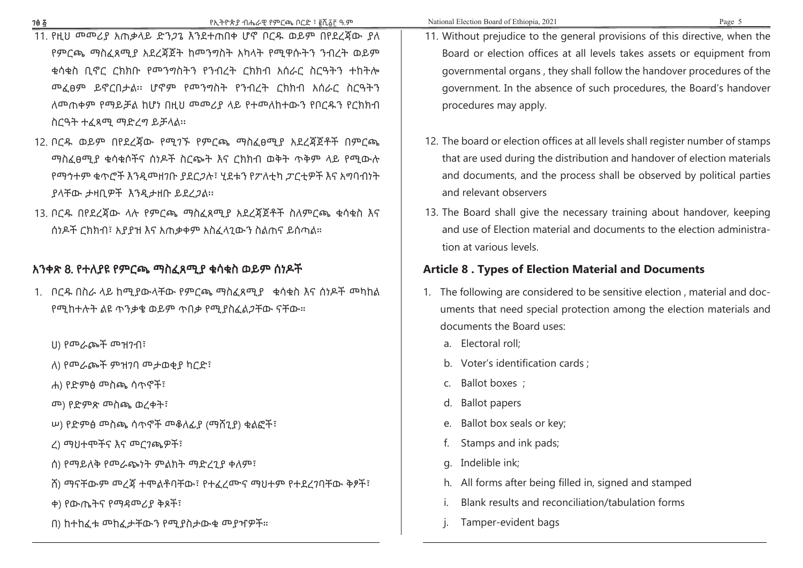- 11. የዚህ መመሪያ አጠቃላይ ድንጋጌ እንደተጠበቀ ሆኖ ቦርዱ ወይም በየደረጃው ያለ የምርጫ ማስፈጸሚያ አደረጃጀት ከመንግስት አካላት የሚዋሱትን ንብረት ወይም ቁሳቁስ ቢኖር ርክክቡ የመንግስትን የንብረት ርክክብ አሰራር ስርዓትን ተከትሎ መፈፀም ይኖርበታል፡፡ ሆኖም የመንግስት የንብረት ርክክብ አሰራር ስርዓትን ለመጠቀም የማይቻል ከሆነ በዚህ መመሪያ ላይ የተመለከተውን የቦርዱን የርክክብ ስርዓት ተፈጻሚ ማድረግ ይቻላል፡፡
- 12. ቦርዱ ወይም በየደረጃው የሚገኙ የምርጫ ማስፈፀሚያ አደረጃጀቶች በምርጫ ማስፈፀሚያ ቁሳቁሶችና ሰነዶች ስርጭት እና ርክክብ ወቅት ጥቅም ላይ የሚውሉ የማኅተም ቁጥሮች እንዲመዘገቡ ያደርጋሉ፣ ሂደቱን የፖለቲካ ፓርቲዎች እና አግባብነት ያላቸው ታዛቢዎች እንዲታዘቡ ይደረጋል፡፡
- 13. ቦርዱ በየደረጃው ላሉ የምርጫ ማስፈጸሚያ አደረጃጀቶች ስለምርጫ ቁሳቁስ እና ሰነዶች ርክክብ፣ አያያዝ እና አጠቃቀም አስፈላጊውን ስልጠና ይሰጣል።

#### አንቀጽ 8. የተለያዩ የምርጫ ማስፈጸሚያ ቁሳቁስ ወይም ሰነዶች

- 1. ቦርዱ በስራ ላይ ከሚያውላቸው የምርጫ ማስፈጸሚያ ቁሳቁስ እና ሰነዶች መካከል የሚከተሉት ልዩ ጥንቃቄ ወይም ጥበቃ የሚያስፈልጋቸው ናቸው።
	- ሀ) የመራጮች መዝገብ፣
	- ለ) የመራጮች ምዝገባ መታወቂያ ካርድ፣
	- ሐ) የድምፅ መስጫ ሳጥኖች፣
	- መ) የድምጽ መስጫ ወረቀት፣
	- ሠ) የድምፅ መስጫ ሳጥኖች መቆለፊያ (ማሸጊያ) ቁልፎች፣
	- ረ) ማህተሞችና እና መርገጫዎች፣
	- ሰ) የማይለቅ የመራጭነት ምልክት ማድረጊያ ቀለም፣
	- ሸ) ማናቸውም መረጃ ተሞልቶባቸው፣ የተፈረሙና ማህተም የተደረገባቸው ቅፆች፣
	- ቀ) የውጤትና የማዳመሪያ ቅጾች፣
	- በ) ከተከፈቱ መከፈታቸውን የሚያስታውቁ መያዣዎች።
- 11. Without prejudice to the general provisions of this directive, when the Board or election offices at all levels takes assets or equipment from governmental organs , they shall follow the handover procedures of the government. In the absence of such procedures, the Board's handover procedures may apply.
- 12. The board or election offices at all levels shall register number of stamps that are used during the distribution and handover of election materials and documents, and the process shall be observed by political parties and relevant observers
- 13. The Board shall give the necessary training about handover, keeping and use of Election material and documents to the election administration at various levels.

#### **Article 8 . Types of Election Material and Documents**

- 1. The following are considered to be sensitive election , material and documents that need special protection among the election materials and documents the Board uses:
	- a. Electoral roll;
	- b. Voter's identification cards ;
	- c. Ballot boxes ;
	- d. Ballot papers
	- e. Ballot box seals or key;
	- f. Stamps and ink pads;
	- g. Indelible ink;
	- h. All forms after being filled in, signed and stamped
	- i. Blank results and reconciliation/tabulation forms
	- j. Tamper-evident bags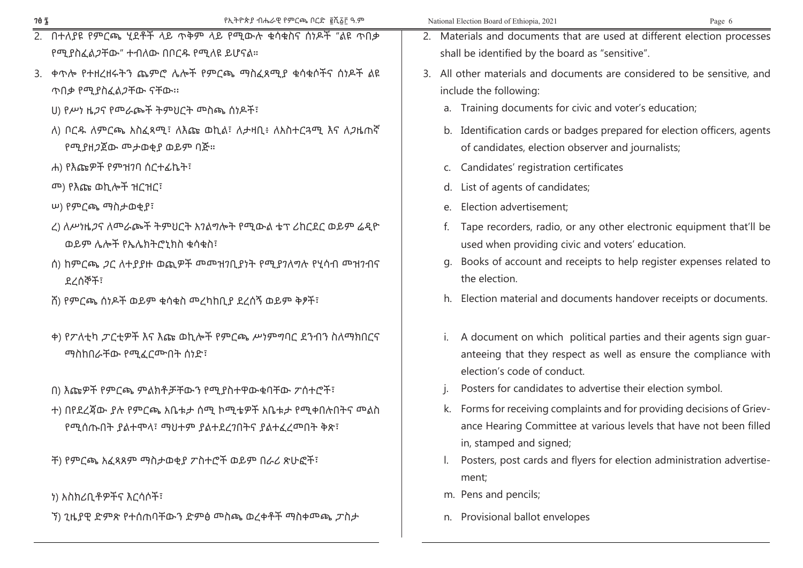| 70 Z | የኢትዮጵያ ብሔራዊ የምርጫ ቦርድ ፪ሺ፩፫ ዓ.ም                                    | National Election Board of Ethiopia, 2021<br>Page 6                                             |  |
|------|------------------------------------------------------------------|-------------------------------------------------------------------------------------------------|--|
|      | 2. በተለያዩ የምርጫ ሂደቶች ላይ ጥቅም ላይ የሚውሉ ቁሳቁስና ሰነዶች "ልዩ ጥበቃ             | 2. Materials and documents that are used at different election processes                        |  |
|      | የሚያስፈል <i>ጋ</i> ቸው" ተብለው በቦርዱ የሚለዩ ይሆናል።                         | shall be identified by the board as "sensitive".                                                |  |
|      | 3. ቀጥሎ የተዘረዘሩትን ጨምሮ ሌሎች የምርጫ ማስፈጸሚያ ቁሳቁሶችና ሰነዶች ልዩ               | 3. All other materials and documents are considered to be sensitive, and                        |  |
|      | ጥበቃ የሚያስፈል <i>ጋ</i> ቸው ናቸው።                                      | include the following:                                                                          |  |
|      | U) የሥነ ዜ <i>ጋ</i> ና የመራጮች ትምህርት መስጫ ሰነዶች፣                        | a. Training documents for civic and voter's education;                                          |  |
|      | ለ) ቦርዱ ለምርጫ አስፈጻሚ፣ ለእጩ ወኪል፣ ለታዛቢ፥ ለአስተርጓሚ እና ለጋዜጠኛ               | b. Identification cards or badges prepared for election officers, agents                        |  |
|      | የሚያዘጋጀው መታወቂያ ወይም ባጅ።                                            | of candidates, election observer and journalists;                                               |  |
|      | ሐ) የእጩዎች የምዝንባ ሰርተፊኬት፣                                           | c. Candidates' registration certificates                                                        |  |
|      | <u><sup>መ</sup>) የእጩ ወኪሎች ዝርዝር፣</u>                              | d. List of agents of candidates;                                                                |  |
|      | ሠ) የምርጫ ማስታወቂያ፣                                                  | e. Election advertisement;                                                                      |  |
|      | ረ) ለሥነዜ <i>ጋ</i> ና ለመራጮች ትምህርት አገልግሎት የሚውል ቴፕ ሪከርደር ወይም ሬዲዮ      | f. Tape recorders, radio, or any other electronic equipment that'll be                          |  |
|      | ወይም ሌሎች የኤሌክትሮኒክስ ቁሳቁስ፣                                          | used when providing civic and voters' education.                                                |  |
|      | ስ) ከምርጫ <i>ጋ</i> ር ለተያያዙ ወጪዎች መመዝንቢያነት የሚያንለግሉ የሂሳብ መዝንብና        | Books of account and receipts to help register expenses related to<br>g.                        |  |
|      | ደረሰኞች፣                                                           | the election.                                                                                   |  |
|      | ሽ) የምርጫ ሰነዶች ወይም ቁሳቁስ መረካከቢያ ደረሰኝ ወይም ቅፆች፣                       | h. Election material and documents handover receipts or documents.                              |  |
|      | ቀ) የፖለቲካ ፖርቲዎች እና እጩ ወኪሎች የምርጫ ሥነምግባር ደንብን ስለማክበርና               | i. A document on which political parties and their agents sign guar-                            |  |
|      | ማስከበራቸው የሚፈርሙበት ሰነድ፣                                             | anteeing that they respect as well as ensure the compliance with<br>election's code of conduct. |  |
|      | በ) እጩዎች የምርጫ ምልክቶቻቸውን የሚያስተዋውቁባቸው ፖሰተሮች፣                         | Posters for candidates to advertise their election symbol.                                      |  |
|      | ተ) በየደረጃው ያሉ የምርጫ አቤቱታ ሰሚ ኮሚቴዎች አቤቱታ የሚቀበሉበትና ሞልስ                | k. Forms for receiving complaints and for providing decisions of Griev-                         |  |
|      | የሚሰጡበት ያልተሞላ፣ ማህተም ያልተደረንበትና ያልተፈረመበት ቅጽ፣                        | ance Hearing Committee at various levels that have not been filled                              |  |
|      |                                                                  | in, stamped and signed;                                                                         |  |
|      | ች) የምርጫ አፈጻጸም ማስታወቂያ ፖስተሮች ወይም በራሪ ጽሁፎች፣                         | Posters, post cards and flyers for election administration advertise-                           |  |
|      |                                                                  | ment;                                                                                           |  |
|      | ነ) አስክሪቢቶዎችና እርሳሶች፣                                              | m. Pens and pencils;                                                                            |  |
|      | ኘ) ጊዜያዊ ድምጽ የተሰጠባቸውን ድምፅ <sup></sup> ስጫ ወረቀቶች  ማስቀሞጫ <i>ፓ</i> ስታ | n. Provisional ballot envelopes                                                                 |  |
|      |                                                                  |                                                                                                 |  |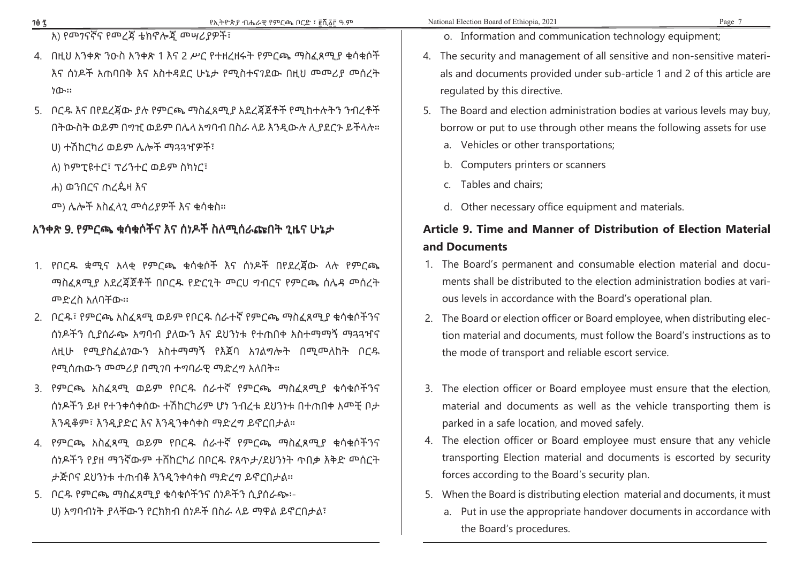አ) የመገናኛና የመረጃ ቴክኖሎጂ መሣሪያዎች፣

- 4. በዚህ አንቀጽ ንዑስ አንቀጽ 1 እና 2 ሥር የተዘረዘሩት የምርጫ ማስፈጸሚያ ቁሳቁሶች እና ሰነዶች አጠባበቅ እና አስተዳደር ሁኔታ የሚስተናገደው በዚህ መመሪያ መሰረት ነው፡፡
- 5. ቦርዱ እና በየደረጃው ያሉ የምርጫ ማስፈጸሚያ አደረጃጀቶች የሚከተሉትን ንብረቶች በትውስት ወይም በግዢ ወይም በሌላ አግባብ በስራ ላይ እንዲውሉ ሊያደርጉ ይችላሉ። ሀ) ተሽከርካሪ ወይም ሌሎች ማጓጓዣዎች፣
	- ለ) ኮምፒዩተር፣ ፕሪንተር ወይም ስካነር፣
	- ሐ) ወንበርና ጠረዼዛ እና
	- መ) ሌሎች አስፈላጊ መሳሪያዎች እና ቁሳቁስ።

### አንቀጽ 9. የምርጫ ቁሳቁሶችና እና ሰነዶች ስለሚሰራጩበት ጊዜና ሁኔታ

- 1. የቦርዱ ቋሚና አላቂ የምርጫ ቁሳቁሶች እና ሰነዶች በየደረጃው ላሉ የምርጫ ማስፈጸሚያ አደረጃጀቶች በቦርዱ የድርጊት መርሀ ግብርና የምርጫ ሰሌዳ መሰረት መድረስ አለባቸው፡፡
- 2. ቦርዱ፣ የምርጫ አስፈጻሚ ወይም የቦርዱ ሰራተኛ የምርጫ ማስፈጸሚያ ቁሳቁሶችንና ሰነዶችን ሲያሰራጭ አግባብ ያለውን እና ደህንነቱ የተጠበቀ አስተማማኝ ማጓጓዣና ለዚሁ የሚያስፈልገውን አስተማማኝ የእጀባ አገልግሎት በሚመለከት ቦርዱ የሚሰጠውን መመሪያ በሚገባ ተግባራዊ ማድረግ አለበት።
- 3. የምርጫ አስፈጻሚ ወይም የቦርዱ ሰራተኛ የምርጫ ማስፈጸሚያ ቁሳቁሶችንና ሰነዶችን ይዞ የተንቀሳቀሰው ተሽከርካሪም ሆነ ንብረቱ ደህንነቱ በተጠበቀ አመቺ ቦታ እንዲቆም፣ እንዲያድር እና እንዲንቀሳቀስ ማድረግ ይኖርበታል።
- 4. የምርጫ አስፈጻሚ ወይም የቦርዱ ሰራተኛ የምርጫ ማስፈጸሚያ ቁሳቁሶችንና ሰነዶችን የያዘ ማንኛውም ተሸከርካሪ በቦርዱ የጸጥታ/ደህንነት ጥበቃ እቅድ መሰርት ታጅቦና ደህንነቱ ተጠብቆ እንዲንቀሳቀስ ማድረግ ይኖርበታል፡፡
- 5. ቦርዱ የምርጫ ማስፈጸሚያ ቁሳቁሶችንና ሰነዶችን ሲያሰራጭ፡- ሀ) አግባብነት ያላቸውን የርክክብ ሰነዶች በስራ ላይ ማዋል ይኖርበታል፣
- o. Information and communication technology equipment;
- 4. The security and management of all sensitive and non-sensitive materials and documents provided under sub-article 1 and 2 of this article are regulated by this directive.
- 5. The Board and election administration bodies at various levels may buy, borrow or put to use through other means the following assets for use
	- a. Vehicles or other transportations;
	- b. Computers printers or scanners
	- c. Tables and chairs;
	- d. Other necessary office equipment and materials.

# **Article 9. Time and Manner of Distribution of Election Material and Documents**

- 1. The Board's permanent and consumable election material and documents shall be distributed to the election administration bodies at various levels in accordance with the Board's operational plan.
- 2. The Board or election officer or Board employee, when distributing election material and documents, must follow the Board's instructions as to the mode of transport and reliable escort service.
- 3. The election officer or Board employee must ensure that the election, material and documents as well as the vehicle transporting them is parked in a safe location, and moved safely.
- 4. The election officer or Board employee must ensure that any vehicle transporting Election material and documents is escorted by security forces according to the Board's security plan.
- 5. When the Board is distributing election material and documents, it must
	- a. Put in use the appropriate handover documents in accordance with the Board's procedures.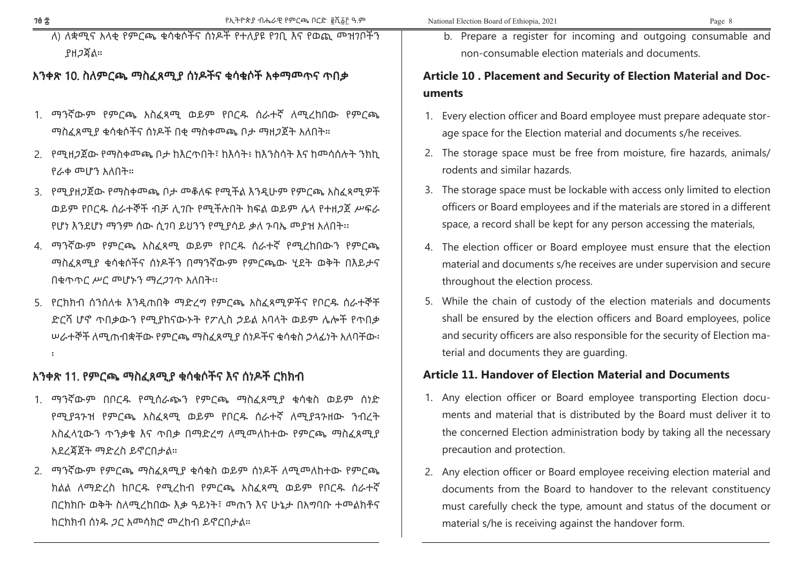ለ) ለቋሚና አላቂ የምርጫ ቁሳቁሶችና ሰነዶች የተለያዩ የገቢ እና የወጪ መዝገቦችን ያዘጋጃል።

#### አንቀጽ 10. ስለምርጫ ማስፈጸሚያ ሰነዶችና ቁሳቁሶች አቀማመጥና ጥበቃ

- 1. ማንኛውም የምርጫ አስፈጻሚ ወይም የቦርዱ ሰራተኛ ለሚረከበው የምርጫ ማስፈጸሚያ ቁሳቁሶችና ሰነዶች በቂ ማስቀመጫ ቦታ ማዘጋጀት አለበት።
- 2. የሚዘጋጀው የማስቀመጫ ቦታ ከእርጥበት፣ ከእሳት፥ ከእንስሳት እና ከመሳሰሉት ንክኪ የራቀ መሆን አለበት።
- 3. የሚያዘጋጀው የማስቀመጫ ቦታ መቆለፍ የሚችል እንዲሁም የምርጫ አስፈጻሚዎች ወይም የቦርዱ ሰራተኞች ብቻ ሊገቡ የሚችሉበት ክፍል ወይም ሌላ የተዘጋጀ ሥፍራ የሆነ እንደሆነ ማንም ሰው ሲገባ ይህንን የሚያሳይ ቃለ ጉባኤ መያዝ አለበት፡፡
- 4. ማንኛውም የምርጫ አስፈጻሚ ወይም የቦርዱ ሰራተኛ የሚረከበውን የምርጫ ማስፈጸሚያ ቁሳቁሶችና ሰነዶችን በማንኛውም የምርጫው ሂደት ወቅት በእይታና በቁጥጥር ሥር መሆኑን ማረጋገጥ አለበት፡፡
- 5. የርክክብ ሰንሰለቱ እንዲጠበቅ ማድረግ የምርጫ አስፈጻሚዎችና የቦርዱ ሰራተኞቸ ድርሻ ሆኖ ጥበቃውን የሚያከናውኑት የፖሊስ ኃይል አባላት ወይም ሌሎች የጥበቃ ሠራተኞች ለሚጠብቋቸው የምርጫ ማስፈጸሚያ ሰነዶችና ቁሳቁስ ኃላፊነት አለባቸው፡ ፡

#### አንቀጽ 11. የምርጫ ማስፈጸሚያ ቁሳቁሶችና እና ሰነዶች ርክክብ

- 1. ማንኛውም በቦርዱ የሚሰራጭን የምርጫ ማስፈጸሚያ ቁሳቁስ ወይም ሰነድ የሚያጓጉዝ የምርጫ አስፈጻሚ ወይም የቦርዱ ሰራተኛ ለሚያጓጉዘው ንብረት አስፈላጊውን ጥንቃቄ እና ጥበቃ በማድረግ ለሚመለከተው የምርጫ ማስፈጸሚያ አደረጃጀት ማድረስ ይኖርበታል።
- 2. ማንኛውም የምርጫ ማስፈጸሚያ ቁሳቁስ ወይም ሰነዶች ለሚመለከተው የምርጫ ክልል ለማድረስ ከቦርዱ የሚረከብ የምርጫ አስፈጻሚ ወይም የቦርዱ ሰራተኛ በርክክቡ ወቅት ስለሚረከበው እቃ ዓይነት፣ መጠን እና ሁኔታ በአግባቡ ተመልክቶና ከርክክብ ሰነዱ ጋር አመሳክሮ መረከብ ይኖርበታል።

b. Prepare a register for incoming and outgoing consumable and non-consumable election materials and documents.

### **Article 10 . Placement and Security of Election Material and Documents**

- 1. Every election officer and Board employee must prepare adequate storage space for the Election material and documents s/he receives.
- 2. The storage space must be free from moisture, fire hazards, animals/ rodents and similar hazards.
- 3. The storage space must be lockable with access only limited to election officers or Board employees and if the materials are stored in a different space, a record shall be kept for any person accessing the materials,
- 4. The election officer or Board employee must ensure that the election material and documents s/he receives are under supervision and secure throughout the election process.
- 5. While the chain of custody of the election materials and documents shall be ensured by the election officers and Board employees, police and security officers are also responsible for the security of Election material and documents they are guarding.

#### **Article 11. Handover of Election Material and Documents**

- 1. Any election officer or Board employee transporting Election documents and material that is distributed by the Board must deliver it to the concerned Election administration body by taking all the necessary precaution and protection.
- 2. Any election officer or Board employee receiving election material and documents from the Board to handover to the relevant constituency must carefully check the type, amount and status of the document or material s/he is receiving against the handover form.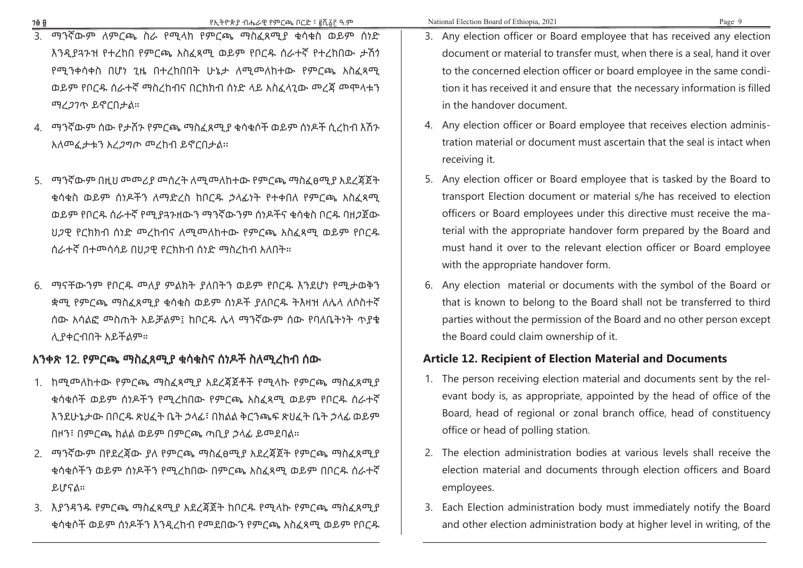- 3. ማንኛውም ለምርጫ ስራ የሚላክ የምርጫ ማስፈጸሚያ ቁሳቁስ ወይም ሰነድ እንዲያጓጉዝ የተረከበ የምርጫ አስፈጻሚ ወይም የቦርዱ ሰራተኛ የተረከበው ታሽጎ የሚንቀሳቀስ በሆነ ጊዜ በተረከበበት ሁኔታ ለሚመለከተው የምርጫ አስፈጻሚ ወይም የቦርዱ ሰራተኛ ማስረከብና በርክክብ ሰነድ ላይ አስፈላጊው መረጃ መሞላቱን ማረጋገጥ ይኖርበታል።
- 4. ማንኛውም ሰው የታሸጉ የምርጫ ማስፈጸሚያ ቁሳቁሶች ወይም ሰነዶች ሲረከብ እሽጉ አለመፈታቱን አረጋግጦ መረከብ ይኖርበታል፡፡
- 5. ማንኛውም በዚህ መመሪያ መሰረት ለሚመለከተው የምርጫ ማስፈፀሚያ አደረጃጀት ቁሳቁስ ወይም ሰነዶችን ለማድረስ ከቦርዱ ኃላፊነት የተቀበለ የምርጫ አስፈጻሚ ወይም የቦርዱ ሰራተኛ የሚያጓጉዘውን ማንኛውንም ሰነዶችና ቁሳቁስ ቦርዱ ባዘጋጀው ህጋዊ የርክክብ ሰነድ መረከብና ለሚመለከተው የምርጫ አስፈጻሚ ወይም የቦርዱ ሰራተኛ በተመሳሳይ በህጋዊ የርክክብ ሰነድ ማስረከብ አለበት።
- 6. ማናቸውንም የቦርዱ መለያ ምልክት ያለበትን ወይም የቦርዱ እንደሆነ የሚታወቅን ቋሚ የምርጫ ማስፈጸሚያ ቁሳቁስ ወይም ሰነዶች ያለቦርዱ ትእዛዝ ለሌላ ለሶስተኛ ሰው አሳልፎ መስጠት አይቻልም፤ ከቦርዱ ሌላ ማንኛውም ሰው የባለቤትነት ጥያቄ ሊያቀርብበት አይችልም።

### አንቀጽ 12. የምርጫ ማስፈጸሚያ ቁሳቁስና ሰነዶች ስለሚረከብ ሰው

- 1. ከሚመለከተው የምርጫ ማስፈጻሚያ አደረጃጀቶች የሚላኩ የምርጫ ማስፈጸሚያ ቁሳቁሶች ወይም ሰነዶችን የሚረከበው የምርጫ አስፈጻሚ ወይም የቦርዱ ሰራተኛ እንደሁኔታው በቦርዱ ጽህፈት ቤት ኃላፊ፣ በክልል ቅርንጫፍ ጽህፈት ቤት ኃላፊ ወይም በዞን፣ በምርጫ ክልል ወይም በምርጫ ጣቢያ ኃላፊ ይመደባል።
- 2. ማንኛውም በየደረጃው ያለ የምርጫ ማስፈፀሚያ አደረጃጀት የምርጫ ማስፈጸሚያ ቁሳቁሶችን ወይም ሰነዶችን የሚረከበው በምርጫ አስፈጻሚ ወይም በቦርዱ ሰራተኛ ይሆናል።
- 3. እያንዳንዱ የምርጫ ማስፈጻሚያ አደረጃጀት ከቦርዱ የሚላኩ የምርጫ ማስፈጸሚያ ቁሳቁሶች ወይም ሰነዶችን እንዲረከብ የመደበውን የምርጫ አስፈጻሚ ወይም የቦርዱ
- 3. Any election officer or Board employee that has received any election document or material to transfer must, when there is a seal, hand it over to the concerned election officer or board employee in the same condition it has received it and ensure that the necessary information is filled in the handover document.
- 4. Any election officer or Board employee that receives election administration material or document must ascertain that the seal is intact when receiving it.
- 5. Any election officer or Board employee that is tasked by the Board to transport Election document or material s/he has received to election officers or Board employees under this directive must receive the material with the appropriate handover form prepared by the Board and must hand it over to the relevant election officer or Board employee with the appropriate handover form.
- 6. Any election material or documents with the symbol of the Board or that is known to belong to the Board shall not be transferred to third parties without the permission of the Board and no other person except the Board could claim ownership of it.

#### **Article 12. Recipient of Election Material and Documents**

- 1. The person receiving election material and documents sent by the relevant body is, as appropriate, appointed by the head of office of the Board, head of regional or zonal branch office, head of constituency office or head of polling station.
- 2. The election administration bodies at various levels shall receive the election material and documents through election officers and Board employees.
- 3. Each Election administration body must immediately notify the Board and other election administration body at higher level in writing, of the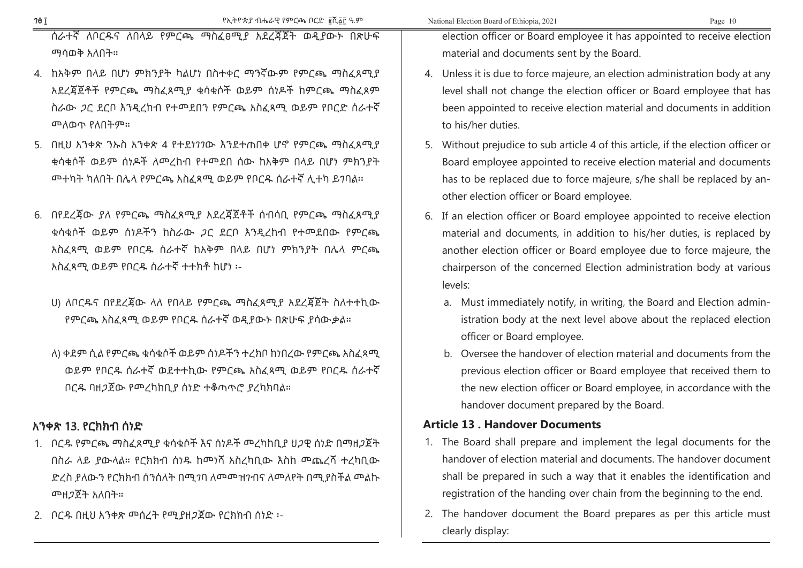ሰራተኛ ለቦርዱና ለበላይ የምርጫ ማስፈፀሚያ አደረጃጀት ወዲያውኑ በጽሁፍ ማሳወቅ አለበት።

- 4. ከአቅም በላይ በሆነ ምክንያት ካልሆነ በስተቀር ማንኛውም የምርጫ ማስፈጸሚያ አደረጃጀቶች የምርጫ ማስፈጸሚያ ቁሳቁሶች ወይም ሰነዶች ከምርጫ ማስፈጸም ስራው ጋር ደርቦ እንዲረከብ የተመደበን የምርጫ አስፈጻሚ ወይም የቦርድ ሰራተኛ መለወጥ የለበትም።
- 5. በዚህ አንቀጽ ንኡስ አንቀጽ 4 የተደነገገው እንደተጠበቀ ሆኖ የምርጫ ማስፈጸሚያ ቁሳቁሶች ወይም ሰነዶች ለመረከብ የተመደበ ሰው ከአቅም በላይ በሆነ ምክንያት መተካት ካለበት በሌላ የምርጫ አስፈጻሚ ወይም የቦርዱ ሰራተኛ ሊተካ ይገባል፡፡
- 6. በየደረጃው ያለ የምርጫ ማስፈጸሚያ አደረጃጀቶች ሰብሳቢ የምርጫ ማስፈጸሚያ ቁሳቁሶች ወይም ሰነዶችን ከስራው ጋር ደርቦ እንዲረከብ የተመደበው የምርጫ አስፈጻሚ ወይም የቦርዱ ሰራተኛ ከአቅም በላይ በሆነ ምክንያት በሌላ ምርጫ አስፈጻሚ ወይም የቦርዱ ሰራተኛ ተተክቶ ከሆነ ፡-
	- ሀ) ለቦርዱና በየደረጃው ላለ የበላይ የምርጫ ማስፈጸሚያ አደረጃጀት ስለተተኪው የምርጫ አስፈጻሚ ወይም የቦርዱ ሰራተኛ ወዲያውኑ በጽሁፍ ያሳውቃል።
	- ለ) ቀደም ሲል የምርጫ ቁሳቁሶች ወይም ሰነዶችን ተረክቦ ከነበረው የምርጫ አስፈጻሚ ወይም የቦርዱ ሰራተኛ ወደተተኪው የምርጫ አስፈጻሚ ወይም የቦርዱ ሰራተኛ ቦርዱ ባዘጋጀው የመረካከቢያ ሰነድ ተቆጣጥሮ ያረካክባል።

#### አንቀጽ 13. የርክክብ ሰነድ

- 1. ቦርዱ የምርጫ ማስፈጸሚያ ቁሳቁሶች እና ሰነዶች መረካከቢያ ህጋዊ ሰነድ በማዘጋጀት በስራ ላይ ያውላል። የርክክብ ሰነዱ ከመነሻ አስረካቢው እስከ መጨረሻ ተረካቢው ድረስ ያለውን የርክክብ ሰንሰለት በሚገባ ለመመዝገብና ለመለየት በሚያስችል መልኩ መዘጋጀት አለበት።
- 2. ቦርዱ በዚህ አንቀጽ መሰረት የሚያዘጋጀው የርክክብ ሰነድ ፡-

election officer or Board employee it has appointed to receive election material and documents sent by the Board.

- 4. Unless it is due to force majeure, an election administration body at any level shall not change the election officer or Board employee that has been appointed to receive election material and documents in addition to his/her duties.
- 5. Without prejudice to sub article 4 of this article, if the election officer or Board employee appointed to receive election material and documents has to be replaced due to force majeure, s/he shall be replaced by another election officer or Board employee.
- 6. If an election officer or Board employee appointed to receive election material and documents, in addition to his/her duties, is replaced by another election officer or Board employee due to force majeure, the chairperson of the concerned Election administration body at various levels:
	- a. Must immediately notify, in writing, the Board and Election administration body at the next level above about the replaced election officer or Board employee.
	- b. Oversee the handover of election material and documents from the previous election officer or Board employee that received them to the new election officer or Board employee, in accordance with the handover document prepared by the Board.

#### **Article 13 . Handover Documents**

- 1. The Board shall prepare and implement the legal documents for the handover of election material and documents. The handover document shall be prepared in such a way that it enables the identification and registration of the handing over chain from the beginning to the end.
- 2. The handover document the Board prepares as per this article must clearly display: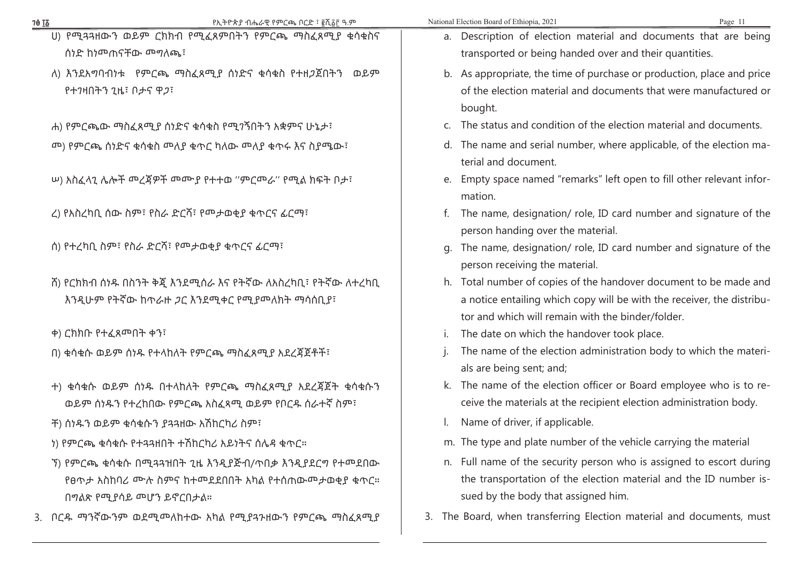| <b>7θ <u>Τδ</u></b>          | የኢትዮጵያ ብሔራዊ የምርጫ ቦርድ ፣ ፪ሺ፩፫ ዓ.ም                          |                                                                  | National Election Board of Ethiopia, 2021                                                             | Page 11 |  |
|------------------------------|----------------------------------------------------------|------------------------------------------------------------------|-------------------------------------------------------------------------------------------------------|---------|--|
|                              | U) የሚዳጓዘውን ወይም ርክክብ የሚፈጸምበትን የምርጫ ማስፈጸሚያ ቁሳቁስና           |                                                                  | a. Description of election material and documents that are being                                      |         |  |
| ሰነድ ከነመጠናቸው መግለጫ፣            |                                                          |                                                                  | transported or being handed over and their quantities.                                                |         |  |
|                              | ለ) እንደአማባብነቱ የምርጫ ማስፈጸሚያ ሰነድና ቁሳቁስ የተዘ <i>ጋ</i> ጀበትን ወይም |                                                                  | b. As appropriate, the time of purchase or production, place and price                                |         |  |
| የተንዛበትን ጊዜ፣ ቦታና ዋ <i>ጋ</i> ፣ |                                                          | of the election material and documents that were manufactured or |                                                                                                       |         |  |
|                              |                                                          |                                                                  | bought.                                                                                               |         |  |
|                              | ሐ) የምርጫው ማስፈጸሚያ ሰነድና ቁሳቁስ የሚገኝበትን አቋምና ሁኔታ፣              |                                                                  | c. The status and condition of the election material and documents.                                   |         |  |
|                              | መ) የምርጫ ሰነድና ቁሳቁስ መለያ ቁጥር ካለው መለያ ቁጥሩ እና ስያሜው፣           |                                                                  | d. The name and serial number, where applicable, of the election ma-                                  |         |  |
|                              |                                                          |                                                                  | terial and document.                                                                                  |         |  |
|                              | ሠ) አስፈላጊ ሌሎች መረጃዎች መሙያ የተተወ "ምርመራ" የሚል ክፍት በታ፣           |                                                                  | e. Empty space named "remarks" left open to fill other relevant infor-<br>mation.                     |         |  |
|                              | ረ) የአስረካቢ ሰው ስም፣ የስራ ድርሻ፣ የመታወቂያ ቁጥርና ፊርማ፣               |                                                                  | The name, designation/ role, ID card number and signature of the<br>person handing over the material. |         |  |
|                              | ሰ) የተረካቢ ስም፣ የስራ ድርሻ፣ የመታወቂያ ቁጥርና ፊርማ፣                   | q.                                                               | The name, designation/ role, ID card number and signature of the                                      |         |  |
|                              |                                                          | person receiving the material.                                   |                                                                                                       |         |  |
|                              | ሽ) የርክክብ ሰነዱ በስንት ቅጇ እንደሚሰራ እና የትኛው ለአስረካቢ፣ የትኛው ለተረካቢ   |                                                                  | h. Total number of copies of the handover document to be made and                                     |         |  |
|                              | እንዲሁም የትኛው ከጥራዙ ጋር እንደሚቀር የሚያመለክት ማሳሰቢያ፣                 |                                                                  | a notice entailing which copy will be with the receiver, the distribu-                                |         |  |
|                              |                                                          |                                                                  | tor and which will remain with the binder/folder.                                                     |         |  |
| ቀ) ርክክቡ የተፈጸመበት ቀን፣          |                                                          |                                                                  | The date on which the handover took place.                                                            |         |  |
|                              | በ) ቁሳቁሱ ወይም ሰነዱ የተላከለት የምርጫ ማስፈጸሚያ አደረጃጀቶች፣              |                                                                  | The name of the election administration body to which the materi-<br>als are being sent; and;         |         |  |
|                              | ተ) ቁሳቁሱ ወይም ሰነዱ በተላከለት የምርጫ ማስፈጸሚያ አደረጃጀት ቁሳቁሱን          |                                                                  | k. The name of the election officer or Board employee who is to re-                                   |         |  |
|                              | ወይም ሰነዱን የተረከበው የምርጫ አስፈጻሚ ወይም የቦርዱ ሰራተኛ ስም፣             |                                                                  | ceive the materials at the recipient election administration body.                                    |         |  |
|                              | ች) ሰነዱን ወይም ቁሳቁሱን ያጓጓዘው አሽከርካሪ ስም፣                       |                                                                  | Name of driver, if applicable.                                                                        |         |  |
|                              | ነ) የምርጫ ቁሳቁሱ የተጻጻዘበት ተሽከርካሪ አይነትና ሰሌዳ ቁጥር።               |                                                                  | m. The type and plate number of the vehicle carrying the material                                     |         |  |
|                              | ኘ) የምርጫ ቁሳቁሱ በሚጓጓዝበት ጊዜ እንዲያጅብ/ጥበቃ እንዲያደርግ የተመደበው        |                                                                  | n. Full name of the security person who is assigned to escort during                                  |         |  |
|                              | የፀጥታ አስከባሪ ሙሉ ስምና ከተመደደበበት አካል የተሰጠውመታወቂያ ቁጥር።           |                                                                  | the transportation of the election material and the ID number is-                                     |         |  |
| በግልጽ የሚያሳይ መሆን ይኖርበታል።       |                                                          |                                                                  | sued by the body that assigned him.                                                                   |         |  |
|                              | 3. ቦርዱ ማንኛውንም ወደሚመለከተው አካል የሚያጓንዘውን የምርጫ ማስፈጸሚያ          |                                                                  | 3. The Board, when transferring Election material and documents, must                                 |         |  |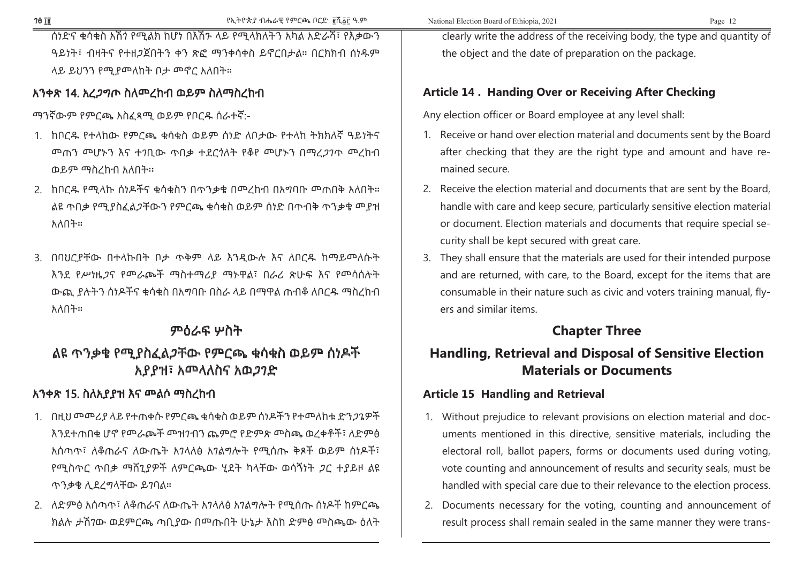ሰነድና ቁሳቁስ አሽጎ የሚልክ ከሆነ በእሽጉ ላይ የሚላክለትን አካል አድራሻ፣ የእቃውን ዓይነት፣ ብዛትና የተዘጋጀበትን ቀን ጽፎ ማንቀሳቀስ ይኖርበታል። በርክክብ ሰነዱም ላይ ይህንን የሚያመለከት ቦታ መኖር አለበት።

#### አንቀጽ 14. አረጋግጦ ስለመረከብ ወይም ስለማስረከብ

ማንኛውም የምርጫ አስፈጻሚ ወይም የቦርዱ ሰራተኛ:-

- 1. ከቦርዱ የተላከው የምርጫ ቁሳቁስ ወይም ሰነድ ለቦታው የተላከ ትክክለኛ ዓይነትና መጠን መሆኑን እና ተገቢው ጥበቃ ተደርጎለት የቆየ መሆኑን በማረጋገጥ መረከብ ወይም ማስረከብ አለበት፡፡
- 2. ከቦርዱ የሚላኩ ሰነዶችና ቁሳቁስን በጥንቃቄ በመረከብ በአግባቡ መጠበቅ አለበት። ልዩ ጥበቃ የሚያስፈልጋቸውን የምርጫ ቁሳቁስ ወይም ሰነድ በጥብቅ ጥንቃቄ መያዝ አለበት።
- 3. በባህርያቸው በተላኩበት ቦታ ጥቅም ላይ እንዲውሉ እና ለቦርዱ ከማይመለሱት እንደ የሥነዜጋና የመራጮች ማስተማሪያ ማኑዋል፣ በራሪ ጽሁፍ እና የመሳሰሉት ውጪ ያሉትን ሰነዶችና ቁሳቁስ በአግባቡ በስራ ላይ በማዋል ጠብቆ ለቦርዱ ማስረከብ አለበት።

# ምዕራፍ ሦስት

# ልዩ ጥንቃቄ የሚያስፈልጋቸው የምርጫ ቁሳቁስ ወይም ሰነዶች አያያዝ፣ አመላለስና አወጋገድ

# አንቀጽ 15. ስለአያያዝ እና መልሶ ማስረከብ

- 1. በዚህ መመሪያ ላይ የተጠቀሱ የምርጫ ቁሳቁስ ወይም ሰነዶችን የተመለከቱ ድንጋጌዎች እንደተጠበቁ ሆኖ የመራጮች መዝገብን ጨምሮ የድምጽ መስጫ ወረቀቶች፣ ለድምፅ አሰጣጥ፣ ለቆጠራና ለውጤት አገላለፅ አገልግሎት የሚሰጡ ቅጾች ወይም ሰነዶች፣ የሚስጥር ጥበቃ ማሸጊያዎች ለምርጫው ሂደት ካላቸው ወሳኝነት ጋር ተያይዞ ልዩ ጥንቃቄ ሊደረግላቸው ይገባል።
- 2. ለድምፅ አሰጣጥ፣ ለቆጠራና ለውጤት አገላለፅ አገልግሎት የሚሰጡ ሰነዶች ከምርጫ ክልሉ ታሽገው ወደምርጫ ጣቢያው በመጡበት ሁኔታ እስከ ድምፅ መስጫው ዕለት

clearly write the address of the receiving body, the type and quantity of the object and the date of preparation on the package.

#### **Article 14 . Handing Over or Receiving After Checking**

Any election officer or Board employee at any level shall:

- 1. Receive or hand over election material and documents sent by the Board after checking that they are the right type and amount and have remained secure.
- 2. Receive the election material and documents that are sent by the Board, handle with care and keep secure, particularly sensitive election material or document. Election materials and documents that require special security shall be kept secured with great care.
- 3. They shall ensure that the materials are used for their intended purpose and are returned, with care, to the Board, except for the items that are consumable in their nature such as civic and voters training manual, flyers and similar items.

# **Chapter Three**

# **Handling, Retrieval and Disposal of Sensitive Election Materials or Documents**

### **Article 15 Handling and Retrieval**

- 1. Without prejudice to relevant provisions on election material and documents mentioned in this directive, sensitive materials, including the electoral roll, ballot papers, forms or documents used during voting, vote counting and announcement of results and security seals, must be handled with special care due to their relevance to the election process.
- 2. Documents necessary for the voting, counting and announcement of result process shall remain sealed in the same manner they were trans-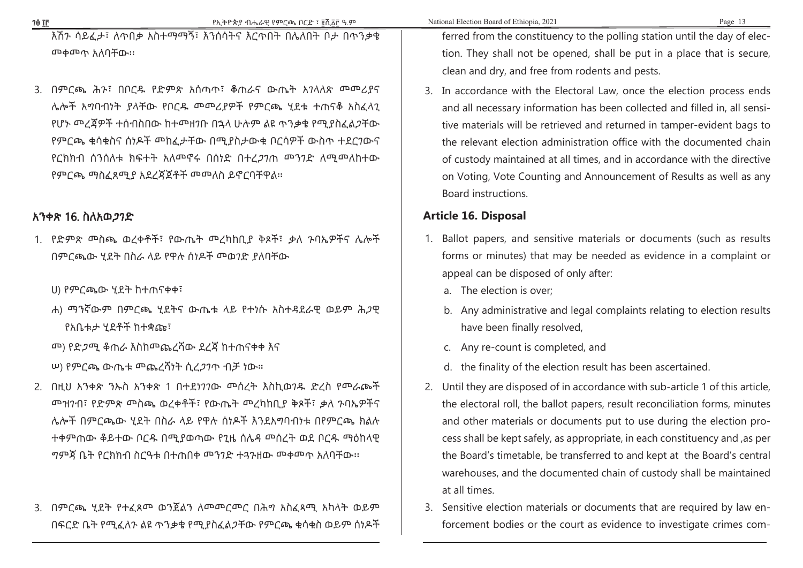እሽጉ ሳይፈታ፣ ለጥበቃ አስተማማኝ፣ እንሰሳትና እርጥበት በሌለበት ቦታ በጥንቃቄ መቀመጥ አለባቸው፡፡

3. በምርጫ ሕጉ፣ በቦርዱ የድምጽ አሰጣጥ፣ ቆጠራና ውጤት አገላለጽ መመሪያና ሌሎች አግባብነት ያላቸው የቦርዱ መመሪያዎች የምርጫ ሂደቱ ተጠናቆ አስፈላጊ የሆኑ መረጃዎች ተሰብስበው ከተመዘገቡ በኋላ ሁሉም ልዩ ጥንቃቄ የሚያስፈልጋቸው የምርጫ ቁሳቁስና ሰነዶች መከፈታቸው በሚያስታውቁ ቦርሳዎች ውስጥ ተደርገውና የርክክብ ሰንሰለቱ ክፍተት አለመኖሩ በሰነድ በተረጋገጠ መንገድ ለሚመለከተው የምርጫ ማስፈጸሚያ አደረጃጀቶች መመለስ ይኖርባቸዋል፡፡

#### አንቀጽ 16. ስለአወጋገድ

1. የድምጽ መስጫ ወረቀቶች፣ የውጤት መረካከቢያ ቅጾች፣ ቃለ ጉባኤዎችና ሌሎች በምርጫው ሂደት በስራ ላይ የዋሉ ሰነዶች መወገድ ያለባቸው

ሀ) የምርጫው ሂደት ከተጠናቀቀ፣

- ሐ) ማንኛውም በምርጫ ሂደትና ውጤቱ ላይ የተነሱ አስተዳደራዊ ወይም ሕጋዊ የአቤቱታ ሂደቶች ከተቋጩ፣
- መ) የድጋሚ ቆጠራ እስከመጨረሻው ደረጃ ከተጠናቀቀ እና

ሠ) የምርጫ ውጤቱ መጨረሻነት ሲረጋገጥ ብቻ ነው።

- 2. በዚህ አንቀጽ ንኡስ አንቀጽ 1 በተደነገገው መሰረት እስኪወገዱ ድረስ የመራጮች መዝገብ፣ የድምጽ መስጫ ወረቀቶች፣ የውጤት መረካከቢያ ቅጾች፣ ቃለ ጉባኤዎችና ሌሎች በምርጫው ሂደት በስራ ላይ የዋሉ ሰነዶች እንደአግባብነቱ በየምርጫ ክልሉ ተቀምጠው ቆይተው ቦርዱ በሚያወጣው የጊዜ ሰሌዳ መሰረት ወደ ቦርዱ ማዕከላዊ ግምጃ ቤት የርክክብ ስርዓቱ በተጠበቀ መንገድ ተጓጉዘው መቀመጥ አለባቸው፡፡
- 3. በምርጫ ሂደት የተፈጸመ ወንጀልን ለመመርመር በሕግ አስፈጻሚ አካላት ወይም በፍርድ ቤት የሚፈለጉ ልዩ ጥንቃቄ የሚያስፈልጋቸው የምርጫ ቁሳቁስ ወይም ሰነዶች

ferred from the constituency to the polling station until the day of election. They shall not be opened, shall be put in a place that is secure, clean and dry, and free from rodents and pests.

3. In accordance with the Electoral Law, once the election process ends and all necessary information has been collected and filled in, all sensitive materials will be retrieved and returned in tamper-evident bags to the relevant election administration office with the documented chain of custody maintained at all times, and in accordance with the directive on Voting, Vote Counting and Announcement of Results as well as any Board instructions.

#### **Article 16. Disposal**

- 1. Ballot papers, and sensitive materials or documents (such as results forms or minutes) that may be needed as evidence in a complaint or appeal can be disposed of only after:
	- a. The election is over;
	- b. Any administrative and legal complaints relating to election results have been finally resolved,
	- c. Any re-count is completed, and
	- d. the finality of the election result has been ascertained.
- 2. Until they are disposed of in accordance with sub-article 1 of this article, the electoral roll, the ballot papers, result reconciliation forms, minutes and other materials or documents put to use during the election process shall be kept safely, as appropriate, in each constituency and ,as per the Board's timetable, be transferred to and kept at the Board's central warehouses, and the documented chain of custody shall be maintained at all times.
- 3. Sensitive election materials or documents that are required by law enforcement bodies or the court as evidence to investigate crimes com-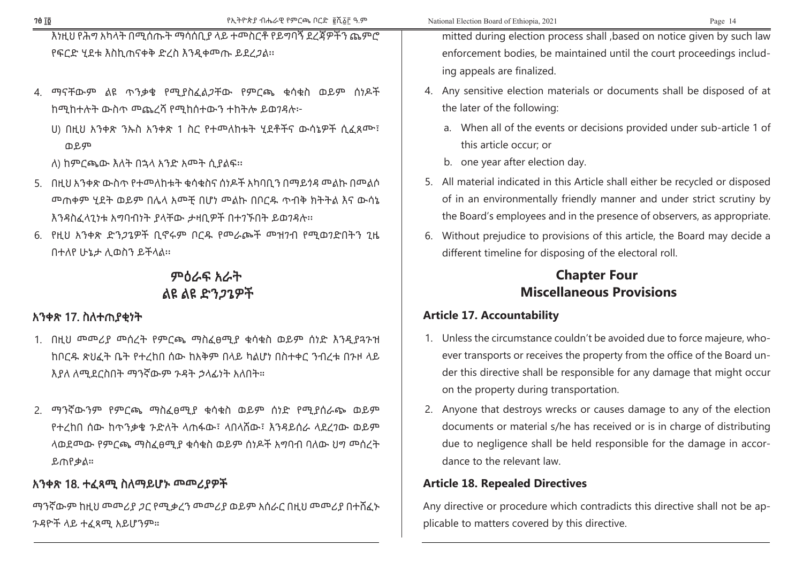| እነዚህ የሕግ አካላት በሚሰጡት ማሳሰቢያ ላይ ተሞስርቶ የይግባኝ ደረጃዎችን ጨምሮ                                                                                                              | mitted during election process shall , based on notice given by such law                                                                                                                                                                                                    |
|------------------------------------------------------------------------------------------------------------------------------------------------------------------|-----------------------------------------------------------------------------------------------------------------------------------------------------------------------------------------------------------------------------------------------------------------------------|
| የፍርድ ሂደቱ እስኪጠናቀቅ ድረስ እንዲቀመጡ ይደረ <i>ጋ</i> ል።                                                                                                                      | enforcement bodies, be maintained until the court proceedings includ-                                                                                                                                                                                                       |
|                                                                                                                                                                  | ing appeals are finalized.                                                                                                                                                                                                                                                  |
| 4. ማናቸውም ልዩ ጥንቃቄ የሚያስፈልጋቸው የምርጫ ቁሳቁስ ወይም ሰነዶች                                                                                                                    | 4. Any sensitive election materials or documents shall be disposed of at                                                                                                                                                                                                    |
| ከሚከተሉት ውስጥ ሞጨረሻ የሚከሰተውን ተከትሎ ይወንዳሉ፦                                                                                                                              | the later of the following:                                                                                                                                                                                                                                                 |
| U) በዚህ አንቀጽ ንኡስ አንቀጽ 1 ስር የተመለከቱት ሂደቶችና ውሳኔዎች ሲፈጸሙ፣<br>ወይም                                                                                                       | a. When all of the events or decisions provided under sub-article 1 of<br>this article occur; or                                                                                                                                                                            |
| ለ) ከምርጫው እለት በኋላ አንድ አሞት ሲያልፍ፡፡                                                                                                                                  | b. one year after election day.                                                                                                                                                                                                                                             |
| 5. በዚህ አንቀጽ ውስጥ የተመለከቱት ቁሳቁስና ሰነዶች አካባቢን በማይጎዳ መልኩ በመልሶ<br>መጠቀም ሂደት ወይም በሌላ አመቺ በሆነ መልኩ በቦርዱ ጥብቅ ክትትል እና ውሳኔ<br>እንዳስፈላጊነቱ አግባብነት ያላቸው ታዛቢዎች በተገኙበት ይወገዳሉ፡፡       | 5. All material indicated in this Article shall either be recycled or disposed<br>of in an environmentally friendly manner and under strict scrutiny by<br>the Board's employees and in the presence of observers, as appropriate.                                          |
| 6. የዚህ አንቀጽ ድን <i>ጋ</i> ጌዎች ቢኖሩም ቦርዱ የመራጮች መዝንብ የሚወንድበትን ጊዜ<br>በተለየ ሁኔታ ሊወስን ይችላል።                                                                               | 6. Without prejudice to provisions of this article, the Board may decide a<br>different timeline for disposing of the electoral roll.                                                                                                                                       |
| ምዕራፍ አራት                                                                                                                                                         | <b>Chapter Four</b>                                                                                                                                                                                                                                                         |
| ልዩ ልዩ ድን <i>ጋ</i> ጌዎች                                                                                                                                            | <b>Miscellaneous Provisions</b>                                                                                                                                                                                                                                             |
| አንቀጽ 17. ስለተጠያቂነት                                                                                                                                                | <b>Article 17. Accountability</b>                                                                                                                                                                                                                                           |
| 1. በዚህ መመሪያ መሰረት የምርጫ ማስፈፀሚያ ቁሳቁስ ወይም ሰነድ እንዲያጓንዝ<br>ከቦርዱ ጽህፈት ቤት የተረከበ ሰው ከአቅም በላይ ካልሆነ በስተቀር ንብረቱ በንዞ ላይ<br>እያለ ለሚደርስበት ማንኛውም ንዳት ኃላፊነት አለበት።                  | 1. Unless the circumstance couldn't be avoided due to force majeure, who-<br>ever transports or receives the property from the office of the Board un-<br>der this directive shall be responsible for any damage that might occur<br>on the property during transportation. |
| 2. ማንኛውንም የምርጫ ማስፈፀሚያ ቁሳቁስ ወይም ሰነድ የሚያሰራጭ ወይም<br>የተረከበ ሰው ከጥንቃቄ ንድለት ላጠፋው፣ ላበላሸው፣ እንዳይሰራ ላደረንው ወይም<br>ላወደመው የምርጫ ማስፈፀሚያ ቁሳቁስ ወይም ሰነዶች አግባብ ባለው ህግ መሰረት<br>ይጠየቃል። | 2. Anyone that destroys wrecks or causes damage to any of the election<br>documents or material s/he has received or is in charge of distributing<br>due to negligence shall be held responsible for the damage in accor-<br>dance to the relevant law.                     |
| አንቀጽ 18. ተፈጻሚ ስለማይሆኑ መመሪያዎች                                                                                                                                      | <b>Article 18. Repealed Directives</b>                                                                                                                                                                                                                                      |
| ማንኛውም ከዚህ መመሪያ <i>ጋ</i> ር የሚቃረን መመሪያ ወይም አሰራር በዚህ መመሪያ በተሸፈኑ<br>ንዳዮች ላይ ተፈጻሚ አይሆንም።                                                                              | Any directive or procedure which contradicts this directive shall not be ap-<br>plicable to matters covered by this directive.                                                                                                                                              |

ገፅ ፲፬ የኢትዮጵያ ብሔራዊ የምርጫ ቦርድ ፪ሺ፩፫ ዓ.ም National Election Board of Ethiopia, 2021 Page 14